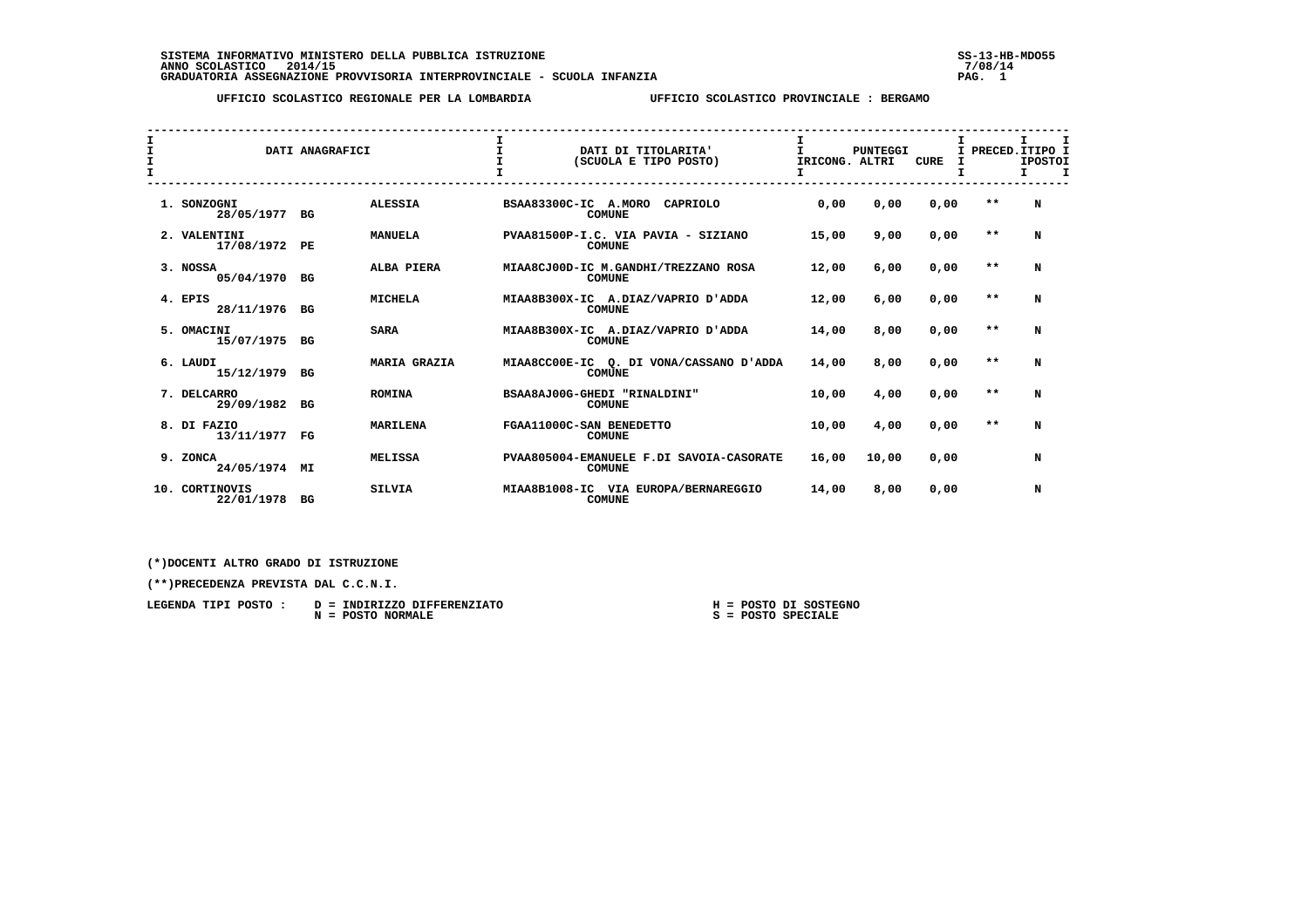**SISTEMA INFORMATIVO MINISTERO DELLA PUBBLICA ISTRUZIONE SS-13-HB-MDO55 ANNO SCOLASTICO 2014/15 7/08/14 GRADUATORIA ASSEGNAZIONE PROVVISORIA INTERPROVINCIALE - SCUOLA INFANZIA PAG. 1**

 **UFFICIO SCOLASTICO REGIONALE PER LA LOMBARDIA UFFICIO SCOLASTICO PROVINCIALE : BERGAMO**

| I<br>$\mathbf{I}$<br>$\mathbf T$ |                               | DATI ANAGRAFICI |                     | $\mathbf{I}$         | DATI DI TITOLARITA'<br>(SCUOLA E TIPO POSTO)              | T.<br>IRICONG. ALTRI | <b>PUNTEGGI</b> | <b>CURE</b> |       | I PRECED. ITIPO I<br><b>IPOSTOI</b><br>$\mathbf I$<br>Τ. |
|----------------------------------|-------------------------------|-----------------|---------------------|----------------------|-----------------------------------------------------------|----------------------|-----------------|-------------|-------|----------------------------------------------------------|
|                                  | 1. SONZOGNI<br>28/05/1977 BG  |                 | <b>ALESSIA</b>      | BSAA83300C-IC A.MORO | CAPRIOLO<br><b>COMUNE</b>                                 | 0.00                 | 0,00            | 0,00        | $* *$ | N                                                        |
|                                  | 2. VALENTINI<br>17/08/1972 PE |                 | <b>MANUELA</b>      |                      | PVAA81500P-I.C. VIA PAVIA - SIZIANO<br><b>COMUNE</b>      | 15,00                | 9,00            | 0,00        | $* *$ | N                                                        |
|                                  | 3. NOSSA<br>05/04/1970        | BG              | ALBA PIERA          |                      | MIAA8CJ00D-IC M.GANDHI/TREZZANO ROSA<br><b>COMUNE</b>     | 12,00                | 6,00            | 0,00        | $* *$ | N                                                        |
|                                  | 4. EPIS<br>28/11/1976 BG      |                 | <b>MICHELA</b>      |                      | MIAA8B300X-IC A.DIAZ/VAPRIO D'ADDA<br><b>COMUNE</b>       | 12,00                | 6,00            | 0,00        | $* *$ | N                                                        |
|                                  | 5. OMACINI<br>15/07/1975 BG   |                 | <b>SARA</b>         |                      | MIAA8B300X-IC A.DIAZ/VAPRIO D'ADDA<br><b>COMUNE</b>       | 14,00                | 8,00            | 0.00        | $* *$ | N                                                        |
|                                  | 6. LAUDI<br>15/12/1979        | BG              | <b>MARIA GRAZIA</b> |                      | MIAA8CC00E-IC O. DI VONA/CASSANO D'ADDA<br><b>COMUNE</b>  | 14,00                | 8,00            | 0,00        | $* *$ | N                                                        |
|                                  | 7. DELCARRO<br>29/09/1982     | BG              | <b>ROMINA</b>       |                      | BSAA8AJ00G-GHEDI "RINALDINI"<br><b>COMUNE</b>             | 10,00                | 4,00            | 0,00        | $* *$ | N                                                        |
|                                  | 8. DI FAZIO<br>13/11/1977     | FG              | <b>MARILENA</b>     |                      | FGAA11000C-SAN BENEDETTO<br><b>COMUNE</b>                 | 10,00                | 4,00            | 0,00        | $* *$ | N                                                        |
|                                  | 9. ZONCA<br>24/05/1974 MI     |                 | <b>MELISSA</b>      |                      | PVAA805004-EMANUELE F.DI SAVOIA-CASORATE<br><b>COMUNE</b> | 16,00                | 10,00           | 0,00        |       | N                                                        |
|                                  | 10. CORTINOVIS<br>22/01/1978  | BG              | <b>SILVIA</b>       |                      | MIAA8B1008-IC VIA EUROPA/BERNAREGGIO<br><b>COMUNE</b>     | 14,00                | 8,00            | 0,00        |       | N                                                        |

 **(\*)DOCENTI ALTRO GRADO DI ISTRUZIONE**

 **(\*\*)PRECEDENZA PREVISTA DAL C.C.N.I.**

| LEGENDA TIPI POSTO : | D = INDIRIZZO DIFFERENZIATO | H = POSTO DI SOSTEGNO |
|----------------------|-----------------------------|-----------------------|
|                      | N = POSTO NORMALE           | S = POSTO SPECIALE    |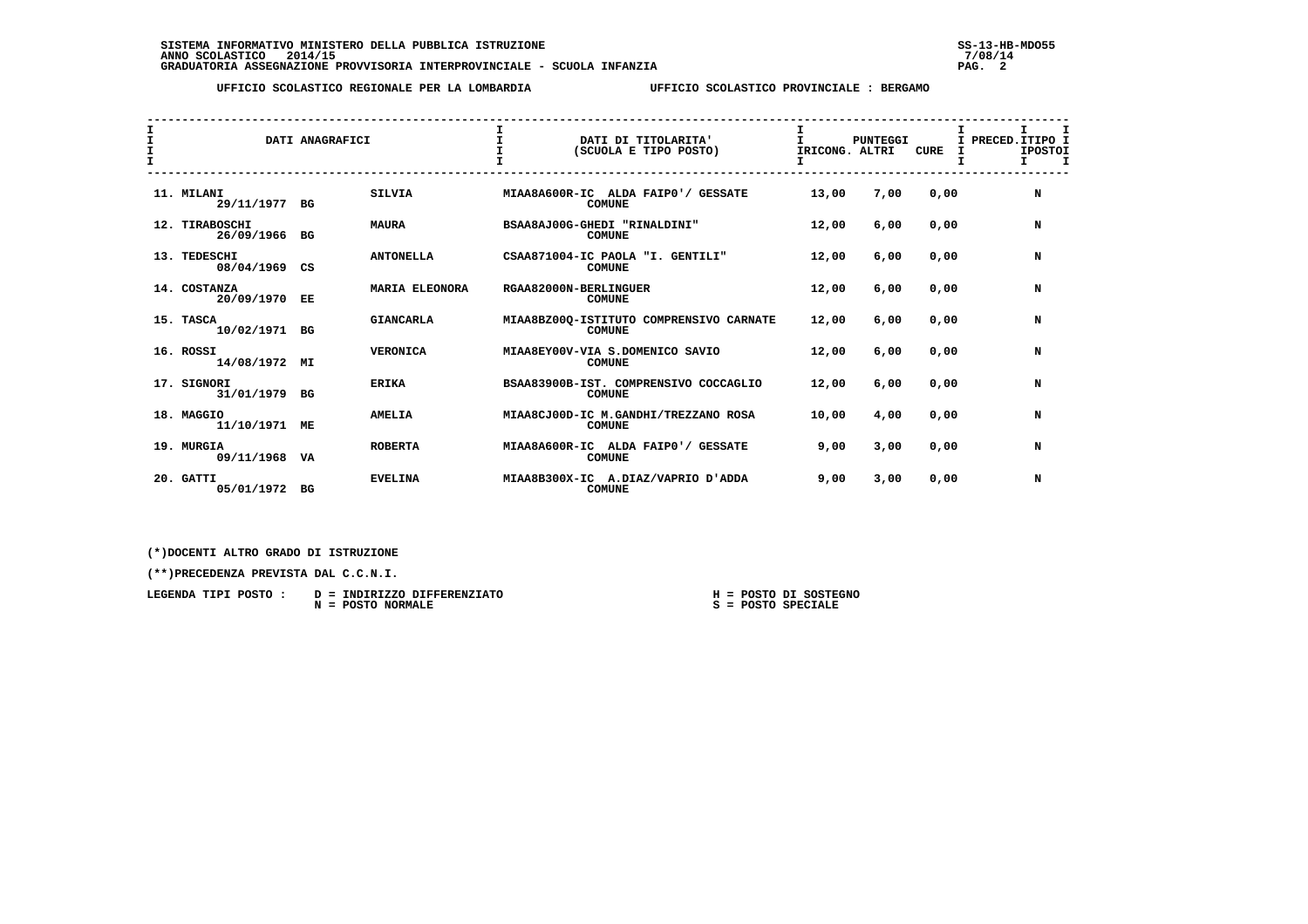## **UFFICIO SCOLASTICO REGIONALE PER LA LOMBARDIA UFFICIO SCOLASTICO PROVINCIALE : BERGAMO**

| $\mathbf{I}$<br>I<br>$\mathbf{T}$ |                                 | DATI ANAGRAFICI |                  | DATI DI TITOLARITA'<br>(SCUOLA E TIPO POSTO)             | T.<br>IRICONG. ALTRI | <b>PUNTEGGI</b> | <b>CURE</b><br>I | I.<br>I PRECED. ITIPO I<br><b>IPOSTOI</b><br>I. |
|-----------------------------------|---------------------------------|-----------------|------------------|----------------------------------------------------------|----------------------|-----------------|------------------|-------------------------------------------------|
|                                   | 11. MILANI<br>29/11/1977 BG     |                 | <b>SILVIA</b>    | MIAA8A600R-IC ALDA FAIP0'/ GESSATE<br><b>COMUNE</b>      | 13,00                | 7,00            | 0,00             | N                                               |
|                                   | 12. TIRABOSCHI<br>26/09/1966 BG |                 | <b>MAURA</b>     | BSAA8AJ00G-GHEDI "RINALDINI"<br><b>COMUNE</b>            | 12,00                | 6,00            | 0,00             | N                                               |
|                                   | 13. TEDESCHI<br>08/04/1969      | CS              | <b>ANTONELLA</b> | CSAA871004-IC PAOLA "I. GENTILI"<br><b>COMUNE</b>        | 12,00                | 6,00            | 0.00             | N                                               |
|                                   | 14. COSTANZA<br>20/09/1970      | EE              | MARIA ELEONORA   | RGAA82000N-BERLINGUER<br><b>COMUNE</b>                   | 12,00                | 6,00            | 0.00             | N                                               |
|                                   | 15. TASCA<br>10/02/1971 BG      |                 | <b>GIANCARLA</b> | MIAA8BZ000-ISTITUTO COMPRENSIVO CARNATE<br><b>COMUNE</b> | 12,00                | 6,00            | 0.00             | N                                               |
|                                   | 16. ROSSI<br>14/08/1972         | MΙ              | <b>VERONICA</b>  | MIAA8EY00V-VIA S.DOMENICO SAVIO<br><b>COMUNE</b>         | 12,00                | 6,00            | 0,00             | N                                               |
|                                   | 17. SIGNORI<br>31/01/1979 BG    |                 | <b>ERIKA</b>     | BSAA83900B-IST. COMPRENSIVO COCCAGLIO<br><b>COMUNE</b>   | 12,00                | 6,00            | 0,00             | N                                               |
|                                   | 18. MAGGIO<br>11/10/1971        | MЕ              | <b>AMELIA</b>    | MIAA8CJ00D-IC M.GANDHI/TREZZANO ROSA<br><b>COMUNE</b>    | 10,00                | 4,00            | 0,00             | N                                               |
|                                   | 19. MURGIA<br>09/11/1968 VA     |                 | <b>ROBERTA</b>   | MIAA8A600R-IC ALDA FAIP0'/ GESSATE<br><b>COMUNE</b>      | 9,00                 | 3,00            | 0,00             | N                                               |
|                                   | 20. GATTI<br>05/01/1972 BG      |                 | <b>EVELINA</b>   | MIAA8B300X-IC A.DIAZ/VAPRIO D'ADDA<br><b>COMUNE</b>      | 9,00                 | 3,00            | 0,00             | N                                               |

 **(\*)DOCENTI ALTRO GRADO DI ISTRUZIONE**

 **(\*\*)PRECEDENZA PREVISTA DAL C.C.N.I.**

| LEGENDA TIPI POSTO | D = INDIRIZZO DIFFERENZIATO |  | $H = POSTO DI SOSTEGNO$ |
|--------------------|-----------------------------|--|-------------------------|
|                    | $N = POSTO NORMALE$         |  | $S = POSTO SPECIALE$    |